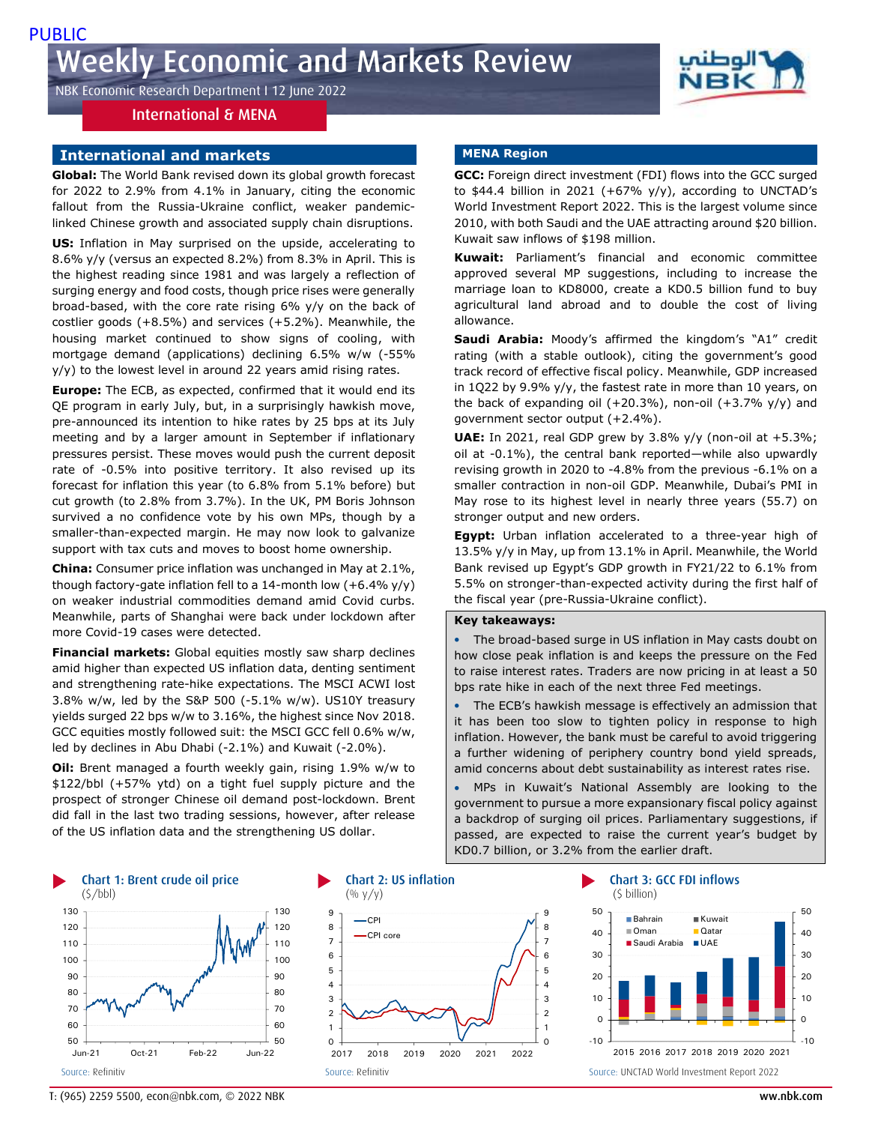# NBK Economic Research Department I 12 June 2022

# International & MENA

### **International and markets**

**Global:** The World Bank revised down its global growth forecast for 2022 to 2.9% from 4.1% in January, citing the economic fallout from the Russia-Ukraine conflict, weaker pandemiclinked Chinese growth and associated supply chain disruptions.

**US:** Inflation in May surprised on the upside, accelerating to 8.6% y/y (versus an expected 8.2%) from 8.3% in April. This is the highest reading since 1981 and was largely a reflection of surging energy and food costs, though price rises were generally broad-based, with the core rate rising 6% y/y on the back of costlier goods (+8.5%) and services (+5.2%). Meanwhile, the housing market continued to show signs of cooling, with mortgage demand (applications) declining 6.5% w/w (-55% y/y) to the lowest level in around 22 years amid rising rates.

**Europe:** The ECB, as expected, confirmed that it would end its QE program in early July, but, in a surprisingly hawkish move, pre-announced its intention to hike rates by 25 bps at its July meeting and by a larger amount in September if inflationary pressures persist. These moves would push the current deposit rate of -0.5% into positive territory. It also revised up its forecast for inflation this year (to 6.8% from 5.1% before) but cut growth (to 2.8% from 3.7%). In the UK, PM Boris Johnson survived a no confidence vote by his own MPs, though by a smaller-than-expected margin. He may now look to galvanize support with tax cuts and moves to boost home ownership.

**China:** Consumer price inflation was unchanged in May at 2.1%, though factory-gate inflation fell to a 14-month low  $(+6.4\%$  y/y) on weaker industrial commodities demand amid Covid curbs. Meanwhile, parts of Shanghai were back under lockdown after more Covid-19 cases were detected.

**Financial markets:** Global equities mostly saw sharp declines amid higher than expected US inflation data, denting sentiment and strengthening rate-hike expectations. The MSCI ACWI lost 3.8% w/w, led by the S&P 500 (-5.1% w/w). US10Y treasury yields surged 22 bps w/w to 3.16%, the highest since Nov 2018. GCC equities mostly followed suit: the MSCI GCC fell 0.6% w/w, led by declines in Abu Dhabi (-2.1%) and Kuwait (-2.0%).

**Oil:** Brent managed a fourth weekly gain, rising 1.9% w/w to \$122/bbl (+57% ytd) on a tight fuel supply picture and the prospect of stronger Chinese oil demand post-lockdown. Brent did fall in the last two trading sessions, however, after release of the US inflation data and the strengthening US dollar.

### **MENA Region**

**GCC:** Foreign direct investment (FDI) flows into the GCC surged to \$44.4 billion in 2021 (+67%  $y/y$ ), according to UNCTAD's World Investment Report 2022. This is the largest volume since 2010, with both Saudi and the UAE attracting around \$20 billion. Kuwait saw inflows of \$198 million.

**Kuwait:** Parliament's financial and economic committee approved several MP suggestions, including to increase the marriage loan to KD8000, create a KD0.5 billion fund to buy agricultural land abroad and to double the cost of living allowance.

**Saudi Arabia:** Moody's affirmed the kingdom's "A1" credit rating (with a stable outlook), citing the government's good track record of effective fiscal policy. Meanwhile, GDP increased in 1Q22 by 9.9% y/y, the fastest rate in more than 10 years, on the back of expanding oil  $(+20.3%)$ , non-oil  $(+3.7%)$  y/y) and government sector output (+2.4%).

**UAE:** In 2021, real GDP grew by 3.8% y/y (non-oil at +5.3%; oil at -0.1%), the central bank reported—while also upwardly revising growth in 2020 to -4.8% from the previous -6.1% on a smaller contraction in non-oil GDP. Meanwhile, Dubai's PMI in May rose to its highest level in nearly three years (55.7) on stronger output and new orders.

**Egypt:** Urban inflation accelerated to a three-year high of 13.5% y/y in May, up from 13.1% in April. Meanwhile, the World Bank revised up Egypt's GDP growth in FY21/22 to 6.1% from 5.5% on stronger-than-expected activity during the first half of the fiscal year (pre-Russia-Ukraine conflict).

### **Key takeaways:**

 The broad-based surge in US inflation in May casts doubt on how close peak inflation is and keeps the pressure on the Fed to raise interest rates. Traders are now pricing in at least a 50 bps rate hike in each of the next three Fed meetings.

 The ECB's hawkish message is effectively an admission that it has been too slow to tighten policy in response to high inflation. However, the bank must be careful to avoid triggering a further widening of periphery country bond yield spreads, amid concerns about debt sustainability as interest rates rise.

 MPs in Kuwait's National Assembly are looking to the government to pursue a more expansionary fiscal policy against a backdrop of surging oil prices. Parliamentary suggestions, if passed, are expected to raise the current year's budget by KD0.7 billion, or 3.2% from the earlier draft.







T: (965) 2259 5500, econ@nbk.com, © 2022 NBK ww.nbk.com